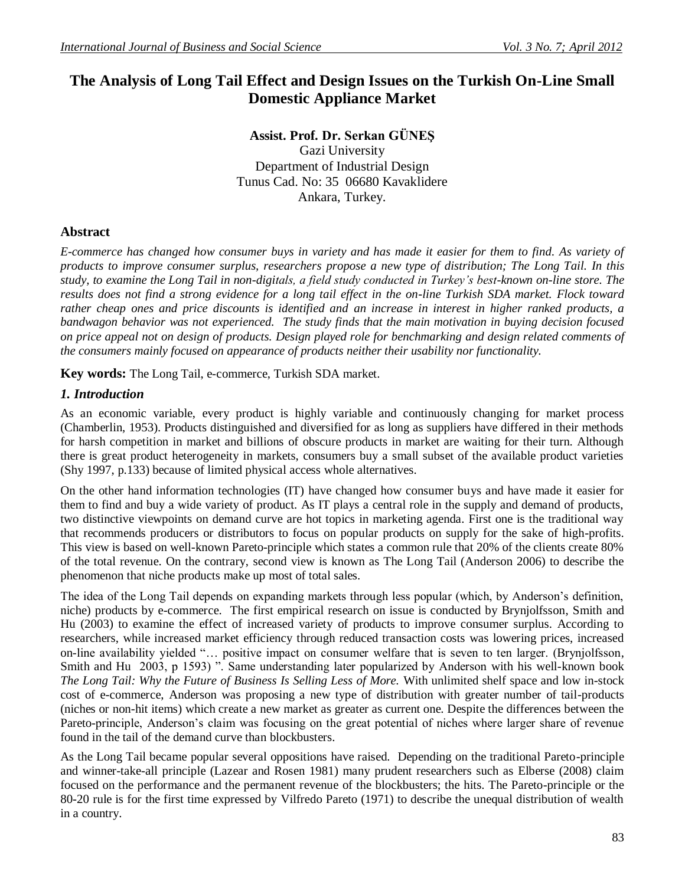# **The Analysis of Long Tail Effect and Design Issues on the Turkish On-Line Small Domestic Appliance Market**

#### **Assist. Prof. Dr. Serkan GÜNEŞ** Gazi University Department of Industrial Design Tunus Cad. No: 35 06680 Kavaklidere Ankara, Turkey.

## **Abstract**

*E-commerce has changed how consumer buys in variety and has made it easier for them to find. As variety of products to improve consumer surplus, researchers propose a new type of distribution; The Long Tail. In this study, to examine the Long Tail in non-digitals, a field study conducted in Turkey's best-known on-line store. The results does not find a strong evidence for a long tail effect in the on-line Turkish SDA market. Flock toward rather cheap ones and price discounts is identified and an increase in interest in higher ranked products, a bandwagon behavior was not experienced. The study finds that the main motivation in buying decision focused on price appeal not on design of products. Design played role for benchmarking and design related comments of the consumers mainly focused on appearance of products neither their usability nor functionality.*

**Key words:** The Long Tail, e-commerce, Turkish SDA market.

#### *1. Introduction*

As an economic variable, every product is highly variable and continuously changing for market process (Chamberlin, 1953). Products distinguished and diversified for as long as suppliers have differed in their methods for harsh competition in market and billions of obscure products in market are waiting for their turn. Although there is great product heterogeneity in markets, consumers buy a small subset of the available product varieties (Shy 1997, p.133) because of limited physical access whole alternatives.

On the other hand information technologies (IT) have changed how consumer buys and have made it easier for them to find and buy a wide variety of product. As IT plays a central role in the supply and demand of products, two distinctive viewpoints on demand curve are hot topics in marketing agenda. First one is the traditional way that recommends producers or distributors to focus on popular products on supply for the sake of high-profits. This view is based on well-known Pareto-principle which states a common rule that 20% of the clients create 80% of the total revenue. On the contrary, second view is known as The Long Tail (Anderson 2006) to describe the phenomenon that niche products make up most of total sales.

The idea of the Long Tail depends on expanding markets through less popular (which, by Anderson's definition, niche) products by e-commerce. The first empirical research on issue is conducted by Brynjolfsson, Smith and Hu (2003) to examine the effect of increased variety of products to improve consumer surplus. According to researchers, while increased market efficiency through reduced transaction costs was lowering prices, increased on-line availability yielded "… positive impact on consumer welfare that is seven to ten larger. (Brynjolfsson, Smith and Hu 2003, p 1593) ". Same understanding later popularized by Anderson with his well-known book *The Long Tail: Why the Future of Business Is Selling Less of More.* With unlimited shelf space and low in-stock cost of e-commerce, Anderson was proposing a new type of distribution with greater number of tail-products (niches or non-hit items) which create a new market as greater as current one. Despite the differences between the Pareto-principle, Anderson's claim was focusing on the great potential of niches where larger share of revenue found in the tail of the demand curve than blockbusters.

As the Long Tail became popular several oppositions have raised. Depending on the traditional Pareto-principle and winner-take-all principle (Lazear and Rosen 1981) many prudent researchers such as Elberse (2008) claim focused on the performance and the permanent revenue of the blockbusters; the hits. The Pareto-principle or the 80-20 rule is for the first time expressed by Vilfredo Pareto (1971) to describe the unequal distribution of wealth in a country.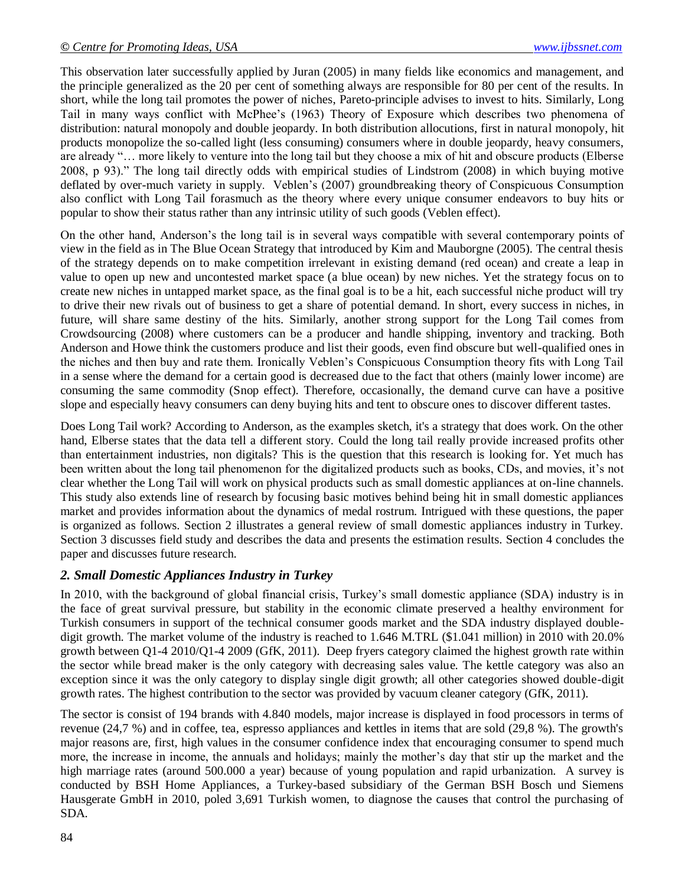This observation later successfully applied by Juran (2005) in many fields like economics and management, and the principle generalized as the 20 per cent of something always are responsible for 80 per cent of the results. In short, while the long tail promotes the power of niches, Pareto-principle advises to invest to hits. Similarly, Long Tail in many ways conflict with McPhee's (1963) Theory of Exposure which describes two phenomena of distribution: natural monopoly and double jeopardy. In both distribution allocutions, first in natural monopoly, hit products monopolize the so-called light (less consuming) consumers where in double jeopardy, heavy consumers, are already "… more likely to venture into the long tail but they choose a mix of hit and obscure products (Elberse 2008, p 93)." The long tail directly odds with empirical studies of Lindstrom (2008) in which buying motive deflated by over-much variety in supply. Veblen's (2007) groundbreaking theory of Conspicuous Consumption also conflict with Long Tail forasmuch as the theory where every unique consumer endeavors to buy hits or popular to show their status rather than any intrinsic utility of such goods (Veblen effect).

On the other hand, Anderson's the long tail is in several ways compatible with several contemporary points of view in the field as in The Blue Ocean Strategy that introduced by Kim and Mauborgne (2005). The central thesis of the strategy depends on to make competition irrelevant in existing demand (red ocean) and create a leap in value to open up new and uncontested market space (a blue ocean) by new niches. Yet the strategy focus on to create new niches in untapped market space, as the final goal is to be a hit, each successful niche product will try to drive their new rivals out of business to get a share of potential demand. In short, every success in niches, in future, will share same destiny of the hits. Similarly, another strong support for the Long Tail comes from Crowdsourcing (2008) where customers can be a producer and handle shipping, inventory and tracking. Both Anderson and Howe think the customers produce and list their goods, even find obscure but well-qualified ones in the niches and then buy and rate them. Ironically Veblen's Conspicuous Consumption theory fits with Long Tail in a sense where the demand for a certain good is decreased due to the fact that others (mainly lower income) are consuming the same commodity (Snop effect). Therefore, occasionally, the demand curve can have a positive slope and especially heavy consumers can deny buying hits and tent to obscure ones to discover different tastes.

Does Long Tail work? According to Anderson, as the examples sketch, it's a strategy that does work. On the other hand, Elberse states that the data tell a different story. Could the long tail really provide increased profits other than entertainment industries, non digitals? This is the question that this research is looking for. Yet much has been written about the long tail phenomenon for the digitalized products such as books, CDs, and movies, it's not clear whether the Long Tail will work on physical products such as small domestic appliances at on-line channels. This study also extends line of research by focusing basic motives behind being hit in small domestic appliances market and provides information about the dynamics of medal rostrum. Intrigued with these questions, the paper is organized as follows. Section 2 illustrates a general review of small domestic appliances industry in Turkey. Section 3 discusses field study and describes the data and presents the estimation results. Section 4 concludes the paper and discusses future research.

## *2. Small Domestic Appliances Industry in Turkey*

In 2010, with the background of global financial crisis, Turkey's small domestic appliance (SDA) industry is in the face of great survival pressure, but stability in the economic climate preserved a healthy environment for Turkish consumers in support of the technical consumer goods market and the SDA industry displayed doubledigit growth. The market volume of the industry is reached to 1.646 M.TRL (\$1.041 million) in 2010 with 20.0% growth between Q1-4 2010/Q1-4 2009 (GfK, 2011). Deep fryers category claimed the highest growth rate within the sector while bread maker is the only category with decreasing sales value. The kettle category was also an exception since it was the only category to display single digit growth; all other categories showed double-digit growth rates. The highest contribution to the sector was provided by vacuum cleaner category (GfK, 2011).

The sector is consist of 194 brands with 4.840 models, major increase is displayed in food processors in terms of revenue (24,7 %) and in coffee, tea, espresso appliances and kettles in items that are sold (29,8 %). The growth's major reasons are, first, high values in the consumer confidence index that encouraging consumer to spend much more, the increase in income, the annuals and holidays; mainly the mother's day that stir up the market and the high marriage rates (around 500.000 a year) because of young population and rapid urbanization. A survey is conducted by BSH Home Appliances, a Turkey-based subsidiary of the German BSH Bosch und Siemens Hausgerate GmbH in 2010, poled 3,691 Turkish women, to diagnose the causes that control the purchasing of SDA.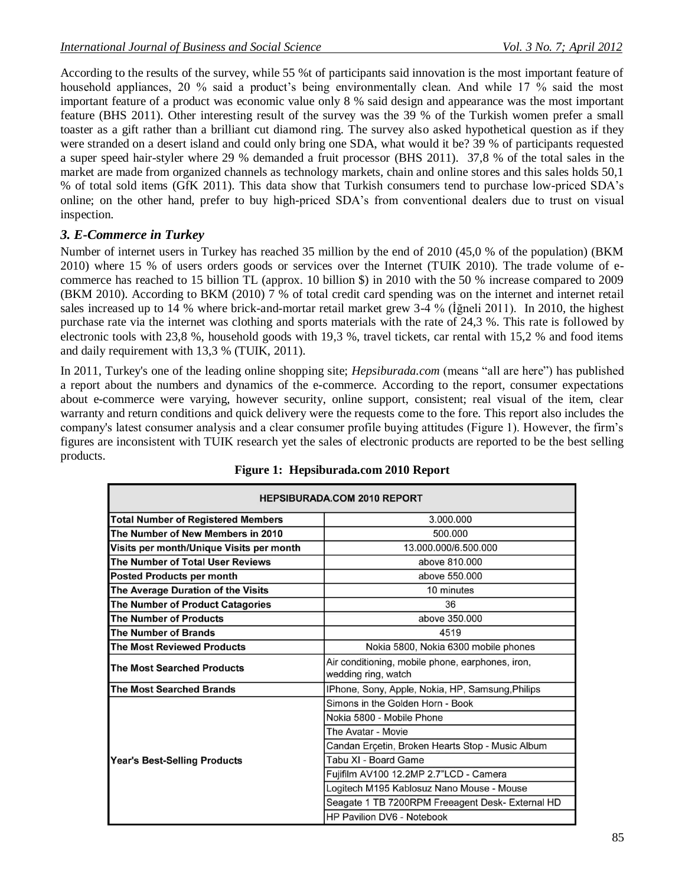According to the results of the survey, while 55 %t of participants said innovation is the most important feature of household appliances, 20 % said a product's being environmentally clean. And while 17 % said the most important feature of a product was economic value only 8 % said design and appearance was the most important feature (BHS 2011). Other interesting result of the survey was the 39 % of the Turkish women prefer a small toaster as a gift rather than a brilliant cut diamond ring. The survey also asked hypothetical question as if they were stranded on a desert island and could only bring one SDA, what would it be? 39 % of participants requested a super speed hair-styler where 29 % demanded a fruit processor (BHS 2011). 37,8 % of the total sales in the market are made from organized channels as technology markets, chain and online stores and this sales holds 50,1 % of total sold items (GfK 2011). This data show that Turkish consumers tend to purchase low-priced SDA's online; on the other hand, prefer to buy high-priced SDA's from conventional dealers due to trust on visual inspection.

## *3. E-Commerce in Turkey*

Number of internet users in Turkey has reached 35 million by the end of 2010 (45,0 % of the population) (BKM 2010) where 15 % of users orders goods or services over the Internet (TUIK 2010). The trade volume of ecommerce has reached to 15 billion TL (approx. 10 billion \$) in 2010 with the 50 % increase compared to 2009 (BKM 2010). According to BKM (2010) 7 % of total credit card spending was on the internet and internet retail sales increased up to 14 % where brick-and-mortar retail market grew 3-4 % (İğneli 2011). In 2010, the highest purchase rate via the internet was clothing and sports materials with the rate of 24,3 %. This rate is followed by electronic tools with 23,8 %, household goods with 19,3 %, travel tickets, car rental with 15,2 % and food items and daily requirement with 13,3 % (TUIK, 2011).

In 2011, Turkey's one of the leading online shopping site; *Hepsiburada.com* (means "all are here") has published a report about the numbers and dynamics of the e-commerce. According to the report, consumer expectations about e-commerce were varying, however security, online support, consistent; real visual of the item, clear warranty and return conditions and quick delivery were the requests come to the fore. This report also includes the company's latest consumer analysis and a clear consumer profile buying attitudes (Figure 1). However, the firm's figures are inconsistent with TUIK research yet the sales of electronic products are reported to be the best selling products.

| <b>HEPSIBURADA.COM 2010 REPORT</b>        |                                                                         |
|-------------------------------------------|-------------------------------------------------------------------------|
| <b>Total Number of Registered Members</b> | 3.000.000                                                               |
| The Number of New Members in 2010         | 500.000                                                                 |
| Visits per month/Unique Visits per month  | 13.000.000/6.500.000                                                    |
| The Number of Total User Reviews          | above 810,000                                                           |
| Posted Products per month                 | above 550,000                                                           |
| The Average Duration of the Visits        | 10 minutes                                                              |
| The Number of Product Catagories          | 36                                                                      |
| The Number of Products                    | above 350.000                                                           |
| The Number of Brands                      | 4519                                                                    |
| <b>The Most Reviewed Products</b>         | Nokia 5800, Nokia 6300 mobile phones                                    |
| The Most Searched Products                | Air conditioning, mobile phone, earphones, iron,<br>wedding ring, watch |
| The Most Searched Brands                  | IPhone, Sony, Apple, Nokia, HP, Samsung, Philips                        |
| <b>Year's Best-Selling Products</b>       | Simons in the Golden Horn - Book                                        |
|                                           | Nokia 5800 - Mobile Phone                                               |
|                                           | The Avatar - Movie                                                      |
|                                           | Candan Erçetin, Broken Hearts Stop - Music Album                        |
|                                           | Tabu XI - Board Game                                                    |
|                                           | Fujifilm AV100 12.2MP 2.7"LCD - Camera                                  |
|                                           | Logitech M195 Kablosuz Nano Mouse - Mouse                               |
|                                           | Seagate 1 TB 7200RPM Freeagent Desk- External HD                        |
|                                           | HP Pavilion DV6 - Notebook                                              |

## **Figure 1: Hepsiburada.com 2010 Report**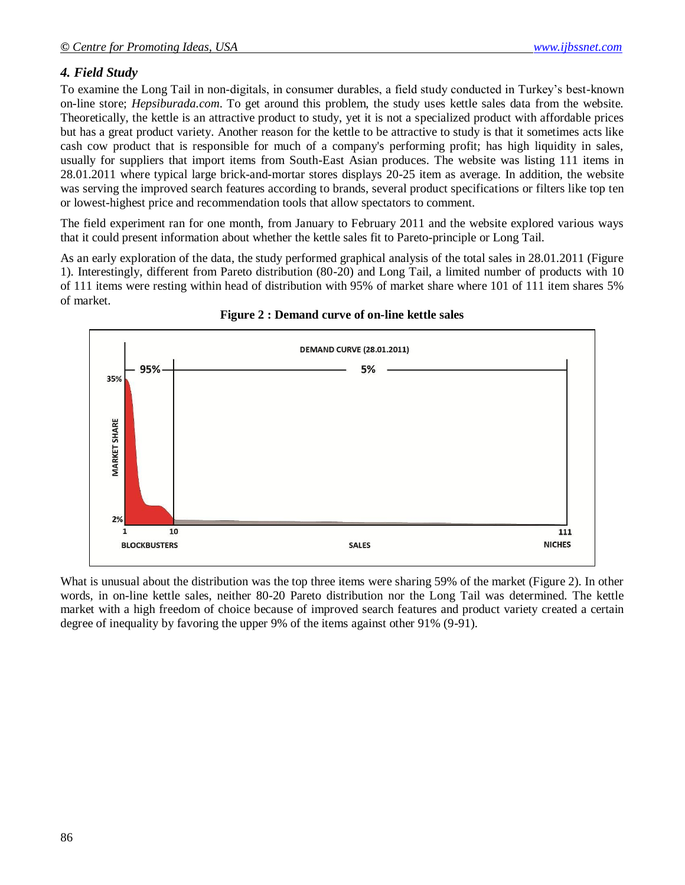# *4. Field Study*

To examine the Long Tail in non-digitals, in consumer durables, a field study conducted in Turkey's best-known on-line store; *Hepsiburada.com*. To get around this problem, the study uses kettle sales data from the website. Theoretically, the kettle is an attractive product to study, yet it is not a specialized product with affordable prices but has a great product variety. Another reason for the kettle to be attractive to study is that it sometimes acts like cash cow product that is responsible for much of a company's performing profit; has high liquidity in sales, usually for suppliers that import items from South-East Asian produces. The website was listing 111 items in 28.01.2011 where typical large brick-and-mortar stores displays 20-25 item as average. In addition, the website was serving the improved search features according to brands, several product specifications or filters like top ten or lowest-highest price and recommendation tools that allow spectators to comment.

The field experiment ran for one month, from January to February 2011 and the website explored various ways that it could present information about whether the kettle sales fit to Pareto-principle or Long Tail.

As an early exploration of the data, the study performed graphical analysis of the total sales in 28.01.2011 (Figure 1). Interestingly, different from Pareto distribution (80-20) and Long Tail, a limited number of products with 10 of 111 items were resting within head of distribution with 95% of market share where 101 of 111 item shares 5% of market.





What is unusual about the distribution was the top three items were sharing 59% of the market (Figure 2). In other words, in on-line kettle sales, neither 80-20 Pareto distribution nor the Long Tail was determined. The kettle market with a high freedom of choice because of improved search features and product variety created a certain degree of inequality by favoring the upper 9% of the items against other 91% (9-91).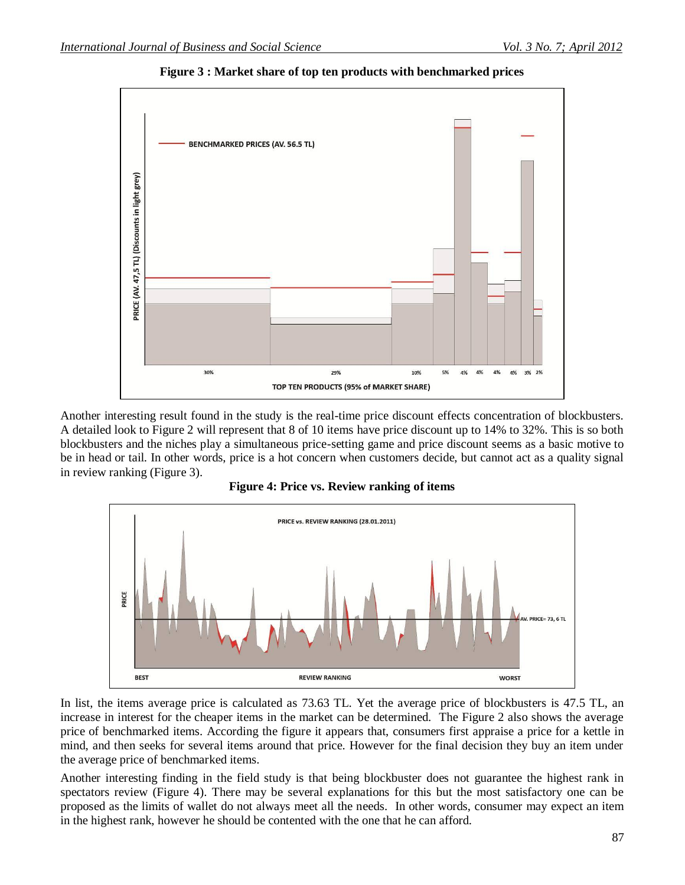

**Figure 3 : Market share of top ten products with benchmarked prices**

Another interesting result found in the study is the real-time price discount effects concentration of blockbusters. A detailed look to Figure 2 will represent that 8 of 10 items have price discount up to 14% to 32%. This is so both blockbusters and the niches play a simultaneous price-setting game and price discount seems as a basic motive to be in head or tail. In other words, price is a hot concern when customers decide, but cannot act as a quality signal in review ranking (Figure 3).





In list, the items average price is calculated as 73.63 TL. Yet the average price of blockbusters is 47.5 TL, an increase in interest for the cheaper items in the market can be determined. The Figure 2 also shows the average price of benchmarked items. According the figure it appears that, consumers first appraise a price for a kettle in mind, and then seeks for several items around that price. However for the final decision they buy an item under the average price of benchmarked items.

Another interesting finding in the field study is that being blockbuster does not guarantee the highest rank in spectators review (Figure 4). There may be several explanations for this but the most satisfactory one can be proposed as the limits of wallet do not always meet all the needs. In other words, consumer may expect an item in the highest rank, however he should be contented with the one that he can afford.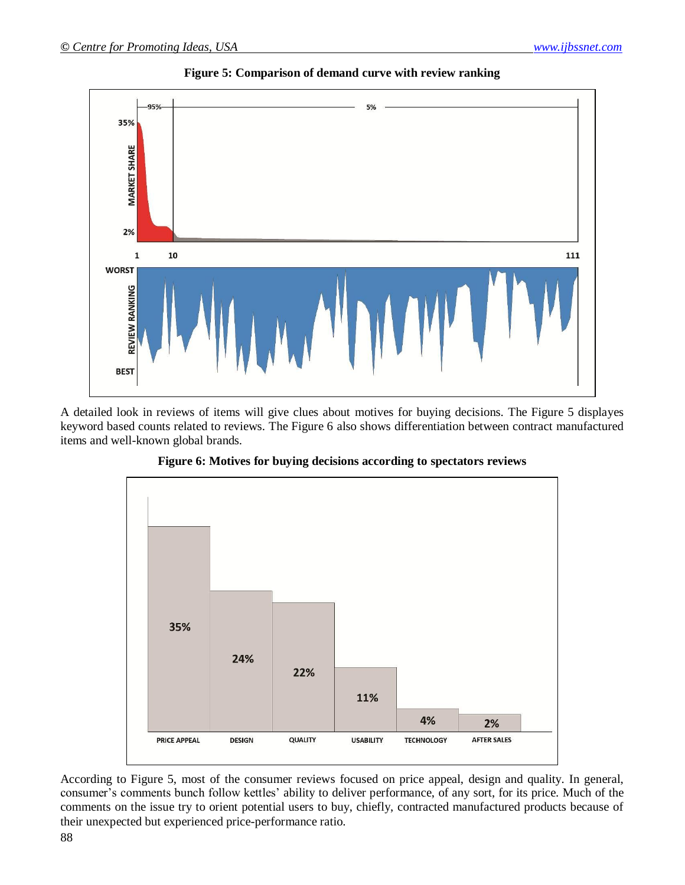

**Figure 5: Comparison of demand curve with review ranking**

A detailed look in reviews of items will give clues about motives for buying decisions. The Figure 5 displayes keyword based counts related to reviews. The Figure 6 also shows differentiation between contract manufactured items and well-known global brands.



**Figure 6: Motives for buying decisions according to spectators reviews**

According to Figure 5, most of the consumer reviews focused on price appeal, design and quality. In general, consumer's comments bunch follow kettles' ability to deliver performance, of any sort, for its price. Much of the comments on the issue try to orient potential users to buy, chiefly, contracted manufactured products because of their unexpected but experienced price-performance ratio.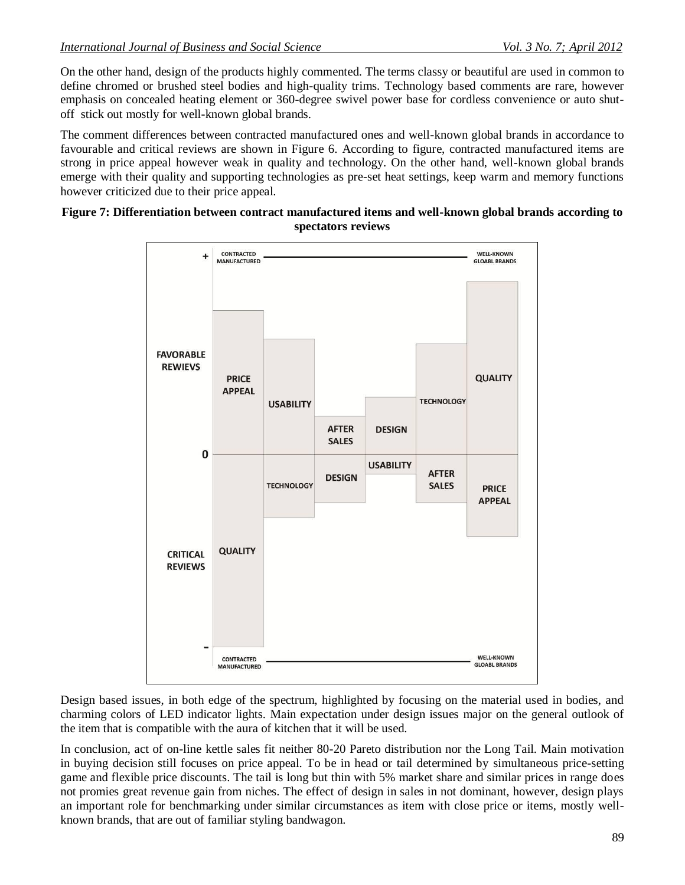On the other hand, design of the products highly commented. The terms classy or beautiful are used in common to define chromed or brushed steel bodies and high-quality trims. Technology based comments are rare, however emphasis on concealed heating element or 360-degree swivel power base for cordless convenience or auto shutoff stick out mostly for well-known global brands.

The comment differences between contracted manufactured ones and well-known global brands in accordance to favourable and critical reviews are shown in Figure 6. According to figure, contracted manufactured items are strong in price appeal however weak in quality and technology. On the other hand, well-known global brands emerge with their quality and supporting technologies as pre-set heat settings, keep warm and memory functions however criticized due to their price appeal.

#### **Figure 7: Differentiation between contract manufactured items and well-known global brands according to spectators reviews**



Design based issues, in both edge of the spectrum, highlighted by focusing on the material used in bodies, and charming colors of LED indicator lights. Main expectation under design issues major on the general outlook of the item that is compatible with the aura of kitchen that it will be used.

In conclusion, act of on-line kettle sales fit neither 80-20 Pareto distribution nor the Long Tail. Main motivation in buying decision still focuses on price appeal. To be in head or tail determined by simultaneous price-setting game and flexible price discounts. The tail is long but thin with 5% market share and similar prices in range does not promies great revenue gain from niches. The effect of design in sales in not dominant, however, design plays an important role for benchmarking under similar circumstances as item with close price or items, mostly wellknown brands, that are out of familiar styling bandwagon.